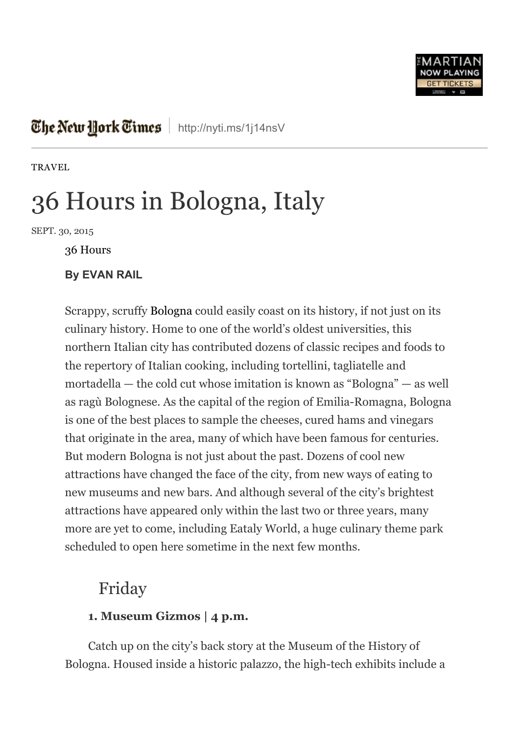

# The New Hork Times | <http://nyti.ms/1j14nsV>

**[TRAVEL](http://www.nytimes.com/pages/travel/index.html)** 

# 36 Hours in Bologna, Italy

SEPT. 30, 2015

36 [Hours](http://www.nytimes.com/column/36-hours)

#### By EVAN RAIL

Scrappy, scruffy [Bologna](http://travel.nytimes.com/travel/guides/europe/italy/bologna/overview.html?inline=nyt-geo) could easily coast on its history, if not just on its culinary history. Home to one of the world's oldest universities, this northern Italian city has contributed dozens of classic recipes and foods to the repertory of Italian cooking, including tortellini, tagliatelle and mortadella — the cold cut whose imitation is known as "Bologna" — as well as ragù Bolognese. As the capital of the region of Emilia-Romagna, Bologna is one of the best places to sample the cheeses, cured hams and vinegars that originate in the area, many of which have been famous for centuries. But modern Bologna is not just about the past. Dozens of cool new attractions have changed the face of the city, from new ways of eating to new museums and new bars. And although several of the city's brightest attractions have appeared only within the last two or three years, many more are yet to come, including Eataly World, a huge culinary theme park scheduled to open here sometime in the next few months.

# Friday

#### 1. Museum Gizmos | 4 p.m.

Catch up on the city's back story at the Museum of the History of Bologna. Housed inside a historic palazzo, the high-tech exhibits include a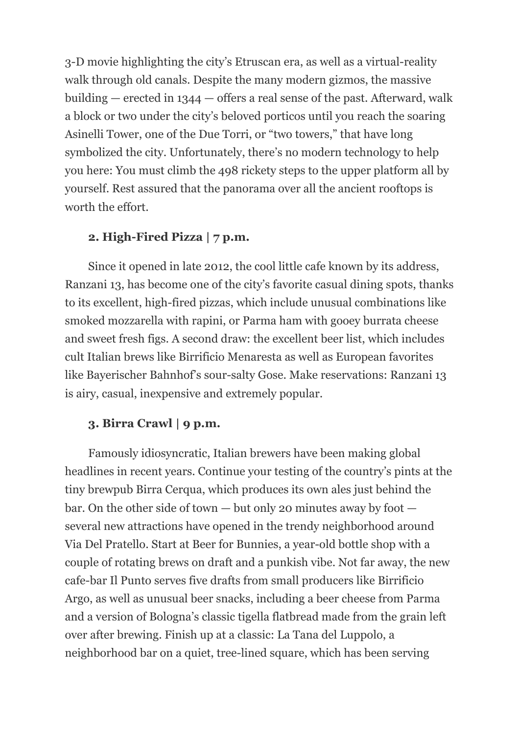3-D movie highlighting the city's Etruscan era, as well as a virtual-reality walk through old canals. Despite the many modern gizmos, the massive building — erected in 1344 — offers a real sense of the past. Afterward, walk a block or two under the city's beloved porticos until you reach the soaring Asinelli Tower, one of the Due Torri, or "two towers," that have long symbolized the city. Unfortunately, there's no modern technology to help you here: You must climb the 498 rickety steps to the upper platform all by yourself. Rest assured that the panorama over all the ancient rooftops is worth the effort.

### 2. High-Fired Pizza  $| 7 p.m.$

Since it opened in late 2012, the cool little cafe known by its address, Ranzani 13, has become one of the city's favorite casual dining spots, thanks to its excellent, high-fired pizzas, which include unusual combinations like smoked mozzarella with rapini, or Parma ham with gooey burrata cheese and sweet fresh figs. A second draw: the excellent beer list, which includes cult Italian brews like Birrificio Menaresta as well as European favorites like Bayerischer Bahnhof's sour-salty Gose. Make reservations: Ranzani 13 is airy, casual, inexpensive and extremely popular.

### 3. Birra Crawl | 9 p.m.

Famously idiosyncratic, Italian brewers have been making global headlines in recent years. Continue your testing of the country's pints at the tiny brewpub Birra Cerqua, which produces its own ales just behind the bar. On the other side of town — but only 20 minutes away by foot several new attractions have opened in the trendy neighborhood around Via Del Pratello. Start at Beer for Bunnies, a year-old bottle shop with a couple of rotating brews on draft and a punkish vibe. Not far away, the new cafebar Il Punto serves five drafts from small producers like Birrificio Argo, as well as unusual beer snacks, including a beer cheese from Parma and a version of Bologna's classic tigella flatbread made from the grain left over after brewing. Finish up at a classic: La Tana del Luppolo, a neighborhood bar on a quiet, tree-lined square, which has been serving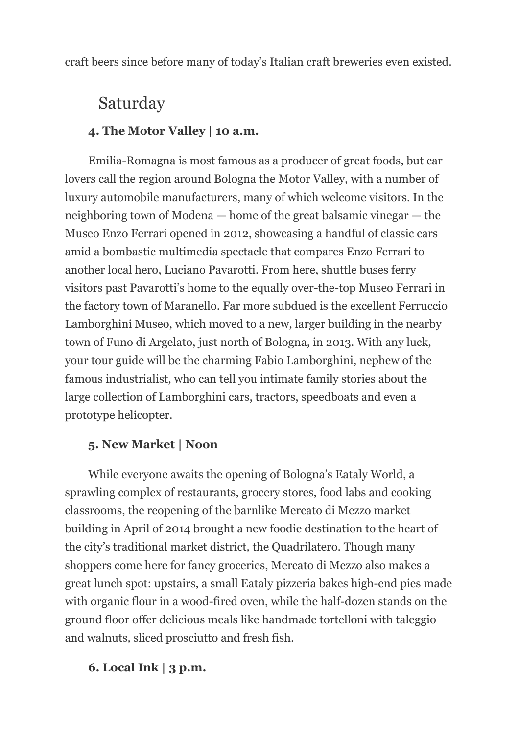craft beers since before many of today's Italian craft breweries even existed.

# Saturday

# 4. The Motor Valley | 10 a.m.

Emilia-Romagna is most famous as a producer of great foods, but car lovers call the region around Bologna the Motor Valley, with a number of luxury automobile manufacturers, many of which welcome visitors. In the neighboring town of Modena — home of the great balsamic vinegar — the Museo Enzo Ferrari opened in 2012, showcasing a handful of classic cars amid a bombastic multimedia spectacle that compares Enzo Ferrari to another local hero, Luciano Pavarotti. From here, shuttle buses ferry visitors past Pavarotti's home to the equally over-the-top Museo Ferrari in the factory town of Maranello. Far more subdued is the excellent Ferruccio Lamborghini Museo, which moved to a new, larger building in the nearby town of Funo di Argelato, just north of Bologna, in 2013. With any luck, your tour guide will be the charming Fabio Lamborghini, nephew of the famous industrialist, who can tell you intimate family stories about the large collection of Lamborghini cars, tractors, speedboats and even a prototype helicopter.

## 5. New Market | Noon

While everyone awaits the opening of Bologna's Eataly World, a sprawling complex of restaurants, grocery stores, food labs and cooking classrooms, the reopening of the barnlike Mercato di Mezzo market building in April of 2014 brought a new foodie destination to the heart of the city's traditional market district, the Quadrilatero. Though many shoppers come here for fancy groceries, Mercato di Mezzo also makes a great lunch spot: upstairs, a small Eataly pizzeria bakes high-end pies made with organic flour in a wood-fired oven, while the half-dozen stands on the ground floor offer delicious meals like handmade tortelloni with taleggio and walnuts, sliced prosciutto and fresh fish.

# 6. Local Ink  $|3$  p.m.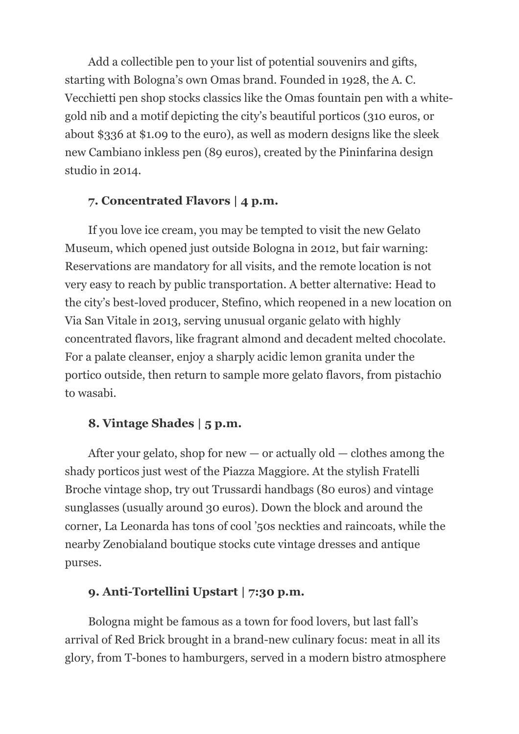Add a collectible pen to your list of potential souvenirs and gifts, starting with Bologna's own Omas brand. Founded in 1928, the A. C. Vecchietti pen shop stocks classics like the Omas fountain pen with a whitegold nib and a motif depicting the city's beautiful porticos (310 euros, or about \$336 at \$1.09 to the euro), as well as modern designs like the sleek new Cambiano inkless pen (89 euros), created by the Pininfarina design studio in 2014.

### 7. Concentrated Flavors | 4 p.m.

If you love ice cream, you may be tempted to visit the new Gelato Museum, which opened just outside Bologna in 2012, but fair warning: Reservations are mandatory for all visits, and the remote location is not very easy to reach by public transportation. A better alternative: Head to the city's best-loved producer, Stefino, which reopened in a new location on Via San Vitale in 2013, serving unusual organic gelato with highly concentrated flavors, like fragrant almond and decadent melted chocolate. For a palate cleanser, enjoy a sharply acidic lemon granita under the portico outside, then return to sample more gelato flavors, from pistachio to wasabi.

#### 8. Vintage Shades | 5 p.m.

After your gelato, shop for new  $-$  or actually old  $-$  clothes among the shady porticos just west of the Piazza Maggiore. At the stylish Fratelli Broche vintage shop, try out Trussardi handbags (80 euros) and vintage sunglasses (usually around 30 euros). Down the block and around the corner, La Leonarda has tons of cool '50s neckties and raincoats, while the nearby Zenobialand boutique stocks cute vintage dresses and antique purses.

#### 9. Anti-Tortellini Upstart | 7:30 p.m.

Bologna might be famous as a town for food lovers, but last fall's arrival of Red Brick brought in a brand-new culinary focus: meat in all its glory, from T-bones to hamburgers, served in a modern bistro atmosphere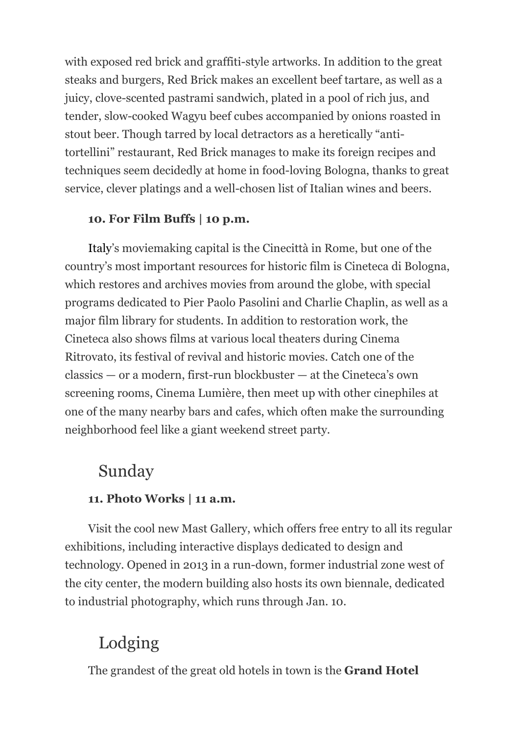with exposed red brick and graffiti-style artworks. In addition to the great steaks and burgers, Red Brick makes an excellent beef tartare, as well as a juicy, clove-scented pastrami sandwich, plated in a pool of rich jus, and tender, slow-cooked Wagyu beef cubes accompanied by onions roasted in stout beer. Though tarred by local detractors as a heretically "antitortellini" restaurant, Red Brick manages to make its foreign recipes and techniques seem decidedly at home in food-loving Bologna, thanks to great service, clever platings and a well-chosen list of Italian wines and beers.

## 10. For Film Buffs | 10 p.m.

[Italy](http://travel.nytimes.com/travel/guides/europe/italy/overview.html?inline=nyt-geo)'s moviemaking capital is the Cinecittà in Rome, but one of the country's most important resources for historic film is Cineteca di Bologna, which restores and archives movies from around the globe, with special programs dedicated to Pier Paolo Pasolini and Charlie Chaplin, as well as a major film library for students. In addition to restoration work, the Cineteca also shows films at various local theaters during Cinema Ritrovato, its festival of revival and historic movies. Catch one of the  $classics - or a modern, first-run blockburst - at the Cineteca's own$ screening rooms, Cinema Lumière, then meet up with other cinephiles at one of the many nearby bars and cafes, which often make the surrounding neighborhood feel like a giant weekend street party.

# Sunday

## 11. Photo Works | 11 a.m.

Visit the cool new Mast Gallery, which offers free entry to all its regular exhibitions, including interactive displays dedicated to design and technology. Opened in 2013 in a run-down, former industrial zone west of the city center, the modern building also hosts its own biennale, dedicated to industrial photography, which runs through Jan. 10.

# Lodging

The grandest of the great old hotels in town is the **Grand Hotel**